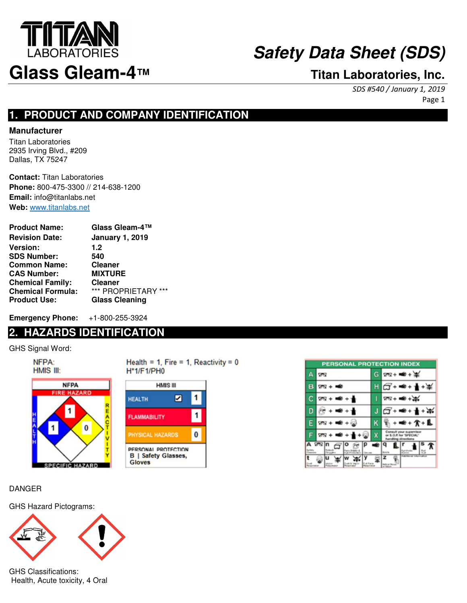

SDS #540 / January 1, 2019 Page 1

## **1. PRODUCT AND COMPANY IDENTIFICATION**

## **Manufacturer**

Titan Laboratories 2935 Irving Blvd., #209 Dallas, TX 75247

**Contact:** Titan Laboratories **Phone:** 800-475-3300 // 214-638-1200 **Email:** info@titanlabs.net **Web:** www.titanlabs.net

| <b>Product Name:</b>     | Glass Gleam-4™         |
|--------------------------|------------------------|
| <b>Revision Date:</b>    | <b>January 1, 2019</b> |
| Version:                 | 1.2                    |
| <b>SDS Number:</b>       | 540                    |
| <b>Common Name:</b>      | <b>Cleaner</b>         |
| <b>CAS Number:</b>       | <b>MIXTURE</b>         |
| <b>Chemical Family:</b>  | <b>Cleaner</b>         |
| <b>Chemical Formula:</b> | *** PROPRIETARY ***    |
| <b>Product Use:</b>      | <b>Glass Cleaning</b>  |

**Emergency Phone:** +1-800-255-3924

## **2. HAZARDS IDENTIFICATION**

GHS Signal Word:

NFPA: HMIS III: **NFPA RE HAZARD** 1 1 0 SPECIFIC HAZARD Health = 1, Fire = 1, Reactivity =  $0$ **H\*1/F1/PH0** 



| PERSONAL PROTECTION INDEX |                |   |                      |  |
|---------------------------|----------------|---|----------------------|--|
|                           | <b>SL</b>      | G | $28 + 40 + 36$       |  |
|                           | $28 + 100$     |   | $G+$                 |  |
|                           | $+1$<br>ਯਾਕ    |   | $28 + 40 + 36$       |  |
|                           |                |   |                      |  |
|                           | $20 + 40 + 60$ | ĸ | $+ \pi + \mathbf{L}$ |  |
|                           | 9N             | X |                      |  |
|                           | ⊽⊠ n           |   |                      |  |
|                           |                |   |                      |  |

## DANGER

GHS Hazard Pictograms:



GHS Classifications: Health, Acute toxicity, 4 Oral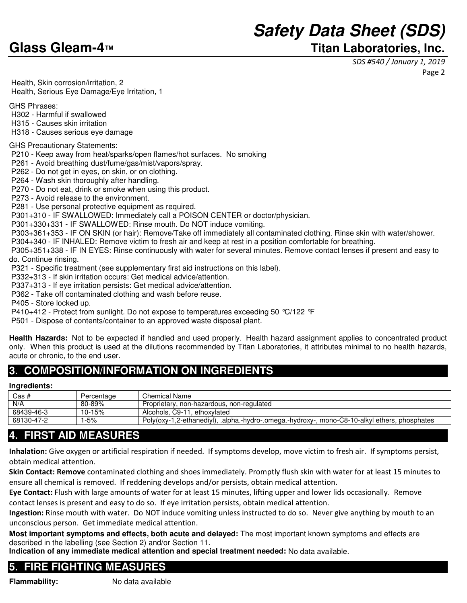## **Safety Data Sheet (SDS) Glass Gleam-4™ Titan Laboratories, Inc.**

SDS #540 / January 1, 2019 Page 2

 Health, Skin corrosion/irritation, 2 Health, Serious Eye Damage/Eye Irritation, 1

GHS Phrases:

- H302 Harmful if swallowed
- H315 Causes skin irritation
- H318 Causes serious eye damage

GHS Precautionary Statements:

P210 - Keep away from heat/sparks/open flames/hot surfaces. No smoking

P261 - Avoid breathing dust/fume/gas/mist/vapors/spray.

P262 - Do not get in eyes, on skin, or on clothing.

P264 - Wash skin thoroughly after handling.

P270 - Do not eat, drink or smoke when using this product.

P273 - Avoid release to the environment.

P281 - Use personal protective equipment as required.

P301+310 - IF SWALLOWED: Immediately call a POISON CENTER or doctor/physician.

P301+330+331 - IF SWALLOWED: Rinse mouth. Do NOT induce vomiting.

P303+361+353 - IF ON SKIN (or hair): Remove/Take off immediately all contaminated clothing. Rinse skin with water/shower.

P304+340 - IF INHALED: Remove victim to fresh air and keep at rest in a position comfortable for breathing.

 P305+351+338 - IF IN EYES: Rinse continuously with water for several minutes. Remove contact lenses if present and easy to do. Continue rinsing.

P321 - Specific treatment (see supplementary first aid instructions on this label).

P332+313 - If skin irritation occurs: Get medical advice/attention.

P337+313 - If eye irritation persists: Get medical advice/attention.

P362 - Take off contaminated clothing and wash before reuse.

P405 - Store locked up.

P410+412 - Protect from sunlight. Do not expose to temperatures exceeding 50 °C/122 °F

P501 - Dispose of contents/container to an approved waste disposal plant.

**Health Hazards:** Not to be expected if handled and used properly. Health hazard assignment applies to concentrated product only. When this product is used at the dilutions recommended by Titan Laboratories, it attributes minimal to no health hazards, acute or chronic, to the end user.

## **3. COMPOSITION/INFORMATION ON INGREDIENTS**

#### **Ingredients:**

| Cas #      | Percentage | Chemical Name                                                                                 |
|------------|------------|-----------------------------------------------------------------------------------------------|
| N/A        | 80-89%     | Proprietary, non-hazardous, non-regulated                                                     |
| 68439-46-3 | 10-15%     | Alcohols, C9-11, ethoxylated                                                                  |
| 68130-47-2 | $-5%$      | Poly(oxy-1,2-ethanediyl), .alpha.-hydro-.omega.-hydroxy-, mono-C8-10-alkyl ethers, phosphates |

## **4. FIRST AID MEASURES**

Inhalation: Give oxygen or artificial respiration if needed. If symptoms develop, move victim to fresh air. If symptoms persist, obtain medical attention.

Skin Contact: Remove contaminated clothing and shoes immediately. Promptly flush skin with water for at least 15 minutes to ensure all chemical is removed. If reddening develops and/or persists, obtain medical attention.

Eye Contact: Flush with large amounts of water for at least 15 minutes, lifting upper and lower lids occasionally. Remove contact lenses is present and easy to do so. If eye irritation persists, obtain medical attention.

Ingestion: Rinse mouth with water. Do NOT induce vomiting unless instructed to do so. Never give anything by mouth to an unconscious person. Get immediate medical attention.

**Most important symptoms and effects, both acute and delayed:** The most important known symptoms and effects are described in the labelling (see Section 2) and/or Section 11.

**Indication of any immediate medical attention and special treatment needed:** No data available.

## **5. FIRE FIGHTING MEASURES**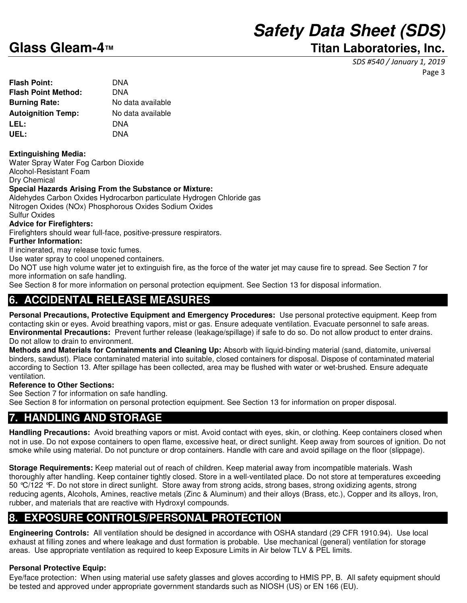## **Glass Gleam-4™ Titan Laboratories, Inc.**

SDS #540 / January 1, 2019 Page 3

| Flash Point:              | DNA               |
|---------------------------|-------------------|
| Flash Point Method:       | DNA               |
| <b>Burning Rate:</b>      | No data available |
| <b>Autoignition Temp:</b> | No data available |
| LEL:                      | DNA               |
| UEL:                      | DNA               |
|                           |                   |

## **Extinguishing Media:**

Water Spray Water Fog Carbon Dioxide Alcohol-Resistant Foam Dry Chemical

### **Special Hazards Arising From the Substance or Mixture:**

Aldehydes Carbon Oxides Hydrocarbon particulate Hydrogen Chloride gas Nitrogen Oxides (NOx) Phosphorous Oxides Sodium Oxides Sulfur Oxides

## **Advice for Firefighters:**

Firefighters should wear full-face, positive-pressure respirators.

#### **Further Information:**

If incinerated, may release toxic fumes.

Use water spray to cool unopened containers.

Do NOT use high volume water jet to extinguish fire, as the force of the water jet may cause fire to spread. See Section 7 for more information on safe handling.

See Section 8 for more information on personal protection equipment. See Section 13 for disposal information.

## **6. ACCIDENTAL RELEASE MEASURES**

**Personal Precautions, Protective Equipment and Emergency Procedures:** Use personal protective equipment. Keep from contacting skin or eyes. Avoid breathing vapors, mist or gas. Ensure adequate ventilation. Evacuate personnel to safe areas. **Environmental Precautions:** Prevent further release (leakage/spillage) if safe to do so. Do not allow product to enter drains. Do not allow to drain to environment.

**Methods and Materials for Containments and Cleaning Up:** Absorb with liquid-binding material (sand, diatomite, universal binders, sawdust). Place contaminated material into suitable, closed containers for disposal. Dispose of contaminated material according to Section 13. After spillage has been collected, area may be flushed with water or wet-brushed. Ensure adequate ventilation.

### **Reference to Other Sections:**

See Section 7 for information on safe handling.

See Section 8 for information on personal protection equipment. See Section 13 for information on proper disposal.

## **7. HANDLING AND STORAGE**

**Handling Precautions:** Avoid breathing vapors or mist. Avoid contact with eyes, skin, or clothing. Keep containers closed when not in use. Do not expose containers to open flame, excessive heat, or direct sunlight. Keep away from sources of ignition. Do not smoke while using material. Do not puncture or drop containers. Handle with care and avoid spillage on the floor (slippage).

**Storage Requirements:** Keep material out of reach of children. Keep material away from incompatible materials. Wash thoroughly after handling. Keep container tightly closed. Store in a well-ventilated place. Do not store at temperatures exceeding 50 °C/122 °F. Do not store in direct sunlight. Store away from strong acids, strong bases, strong oxidizing agents, strong reducing agents, Alcohols, Amines, reactive metals (Zinc & Aluminum) and their alloys (Brass, etc.), Copper and its alloys, Iron, rubber, and materials that are reactive with Hydroxyl compounds.

## **8. EXPOSURE CONTROLS/PERSONAL PROTECTION**

**Engineering Controls:** All ventilation should be designed in accordance with OSHA standard (29 CFR 1910.94). Use local exhaust at filling zones and where leakage and dust formation is probable. Use mechanical (general) ventilation for storage areas. Use appropriate ventilation as required to keep Exposure Limits in Air below TLV & PEL limits.

## **Personal Protective Equip:**

Eye/face protection: When using material use safety glasses and gloves according to HMIS PP, B. All safety equipment should be tested and approved under appropriate government standards such as NIOSH (US) or EN 166 (EU).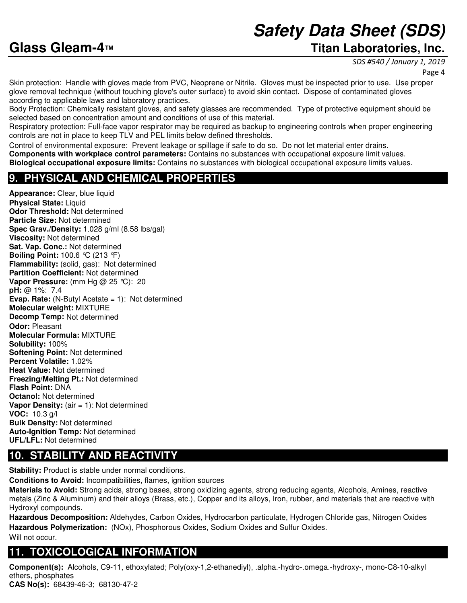## **Glass Gleam-4™ Titan Laboratories, Inc.**

SDS #540 / January 1, 2019

Page 4

Skin protection: Handle with gloves made from PVC, Neoprene or Nitrile. Gloves must be inspected prior to use. Use proper glove removal technique (without touching glove's outer surface) to avoid skin contact. Dispose of contaminated gloves according to applicable laws and laboratory practices.

Body Protection: Chemically resistant gloves, and safety glasses are recommended. Type of protective equipment should be selected based on concentration amount and conditions of use of this material.

Respiratory protection: Full-face vapor respirator may be required as backup to engineering controls when proper engineering controls are not in place to keep TLV and PEL limits below defined thresholds.

Control of environmental exposure: Prevent leakage or spillage if safe to do so. Do not let material enter drains. **Components with workplace control parameters:** Contains no substances with occupational exposure limit values. **Biological occupational exposure limits:** Contains no substances with biological occupational exposure limits values.

## **9. PHYSICAL AND CHEMICAL PROPERTIES**

**Appearance:** Clear, blue liquid **Physical State: Liquid Odor Threshold:** Not determined **Particle Size:** Not determined **Spec Grav./Density:** 1.028 g/ml (8.58 lbs/gal) **Viscosity:** Not determined **Sat. Vap. Conc.:** Not determined **Boiling Point:** 100.6 °C (213 °F) **Flammability:** (solid, gas): Not determined **Partition Coefficient:** Not determined **Vapor Pressure:** (mm Hg @ 25 °C): 20 **pH:** @ 1%: 7.4 **Evap. Rate:** (N-Butyl Acetate = 1): Not determined **Molecular weight:** MIXTURE **Decomp Temp:** Not determined **Odor:** Pleasant **Molecular Formula:** MIXTURE **Solubility:** 100% **Softening Point:** Not determined **Percent Volatile:** 1.02% **Heat Value:** Not determined **Freezing/Melting Pt.:** Not determined **Flash Point:** DNA **Octanol:** Not determined **Vapor Density:** (air = 1): Not determined **VOC:** 10.3 g/l **Bulk Density:** Not determined **Auto-Ignition Temp:** Not determined **UFL/LFL:** Not determined

## **10. STABILITY AND REACTIVITY**

**Stability:** Product is stable under normal conditions.

**Conditions to Avoid:** Incompatibilities, flames, ignition sources

**Materials to Avoid:** Strong acids, strong bases, strong oxidizing agents, strong reducing agents, Alcohols, Amines, reactive metals (Zinc & Aluminum) and their alloys (Brass, etc.), Copper and its alloys, Iron, rubber, and materials that are reactive with Hydroxyl compounds.

**Hazardous Decomposition:** Aldehydes, Carbon Oxides, Hydrocarbon particulate, Hydrogen Chloride gas, Nitrogen Oxides **Hazardous Polymerization:** (NOx), Phosphorous Oxides, Sodium Oxides and Sulfur Oxides.

Will not occur.

## **11. TOXICOLOGICAL INFORMATION**

**Component(s):** Alcohols, C9-11, ethoxylated; Poly(oxy-1,2-ethanediyl), .alpha.-hydro-.omega.-hydroxy-, mono-C8-10-alkyl ethers, phosphates **CAS No(s):** 68439-46-3; 68130-47-2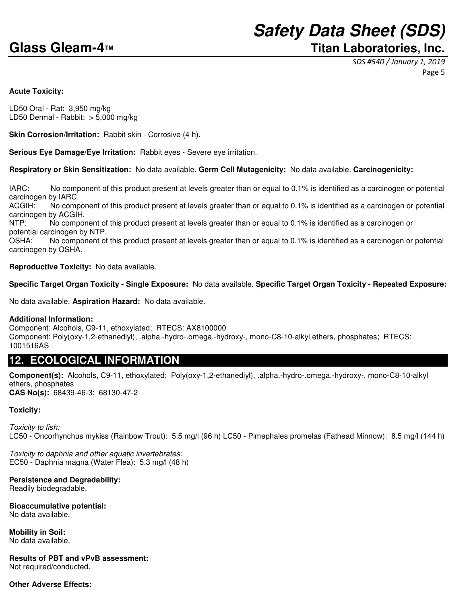## **Safety Data Sheet (SDS) Glass Gleam-4™ Titan Laboratories, Inc.**

SDS #540 / January 1, 2019 Page 5

#### **Acute Toxicity:**

LD50 Oral - Rat: 3,950 mg/kg LD50 Dermal - Rabbit: > 5,000 mg/kg

**Skin Corrosion/Irritation: Rabbit skin - Corrosive (4 h).** 

**Serious Eye Damage/Eye Irritation:** Rabbit eyes - Severe eye irritation.

**Respiratory or Skin Sensitization:** No data available. **Germ Cell Mutagenicity:** No data available. **Carcinogenicity:**

IARC: No component of this product present at levels greater than or equal to 0.1% is identified as a carcinogen or potential carcinogen by IARC.

ACGIH: No component of this product present at levels greater than or equal to 0.1% is identified as a carcinogen or potential carcinogen by ACGIH.

NTP: No component of this product present at levels greater than or equal to 0.1% is identified as a carcinogen or potential carcinogen by NTP.

OSHA: No component of this product present at levels greater than or equal to 0.1% is identified as a carcinogen or potential carcinogen by OSHA.

**Reproductive Toxicity:** No data available.

#### **Specific Target Organ Toxicity - Single Exposure:** No data available. **Specific Target Organ Toxicity - Repeated Exposure:**

No data available. **Aspiration Hazard:** No data available.

#### **Additional Information:**

Component: Alcohols, C9-11, ethoxylated; RTECS: AX8100000 Component: Poly(oxy-1,2-ethanediyl), .alpha.-hydro-.omega.-hydroxy-, mono-C8-10-alkyl ethers, phosphates; RTECS: 1001516AS

## **12. ECOLOGICAL INFORMATION**

**Component(s):** Alcohols, C9-11, ethoxylated; Poly(oxy-1,2-ethanediyl), .alpha.-hydro-.omega.-hydroxy-, mono-C8-10-alkyl ethers, phosphates **CAS No(s):** 68439-46-3; 68130-47-2

### **Toxicity:**

Toxicity to fish: LC50 - Oncorhynchus mykiss (Rainbow Trout): 5.5 mg/l (96 h) LC50 - Pimephales promelas (Fathead Minnow): 8.5 mg/l (144 h)

Toxicity to daphnia and other aquatic invertebrates: EC50 - Daphnia magna (Water Flea): 5.3 mg/l (48 h)

### **Persistence and Degradability:**

Readily biodegradable.

**Bioaccumulative potential:**

No data available.

**Mobility in Soil:** No data available.

**Results of PBT and vPvB assessment:** Not required/conducted.

### **Other Adverse Effects:**